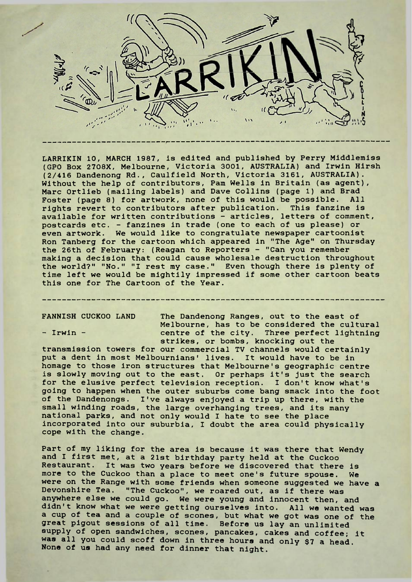

LARRIKIN 10, MARCH 1987, is edited and published by Perry Middlemiss (GPO Box 27O8X, Melbourne, Victoria 3001, AUSTRALIA) and Irwin Hirsh (2/416 Dandenong Rd., Caulfield North, Victoria 3161, AUSTRALIA). Without the help of contributors, Pam Wells in Britain (as agent), Marc Ortlieb (mailing labels) and Dave Collins (page 1) and Brad Foster (page 8) for artwork, none of this would be possible. rights revert to contributors after publication. This fanzine is available for written contributions - articles, letters of comment, postcards etc. - fanzines in trade (one to each of us please) or even artwork. We would like to congratulate newspaper cartoonist Ron Tanberg for the cartoon which appeared in "The Age" on Thursday the 26th of February: (Reagan to Reporters - "Can you remember making a decision that could cause wholesale destruction throughout the world?" "No." "I rest my case." Even though there is plenty of time left we would be mightily impressed if some other cartoon beats this one for The Cartoon of the Year.

FANNISH CUCKOO LAND The Dandenong Ranges, out to the east of Melbourne, has to be considered the cultural - Irwin - **centre of the city.** Three perfect lightning strikes, or bombs, knocking out the

transmission towers for our commercial TV channels would certainly put a dent in most Melbournians' lives. It would have to be in homage to those iron structures that Melbourne's geographic centre is slowly moving out to the east. Or perhaps it's just the search for the elusive perfect television reception. I don't know what's going to happen when the outer suburbs come bang smack into the foot of the Dandenongs. I've always enjoyed a trip up there, with the small winding roads, the large overhanging trees, and its many national parks, and not only would I hate to see the place incorporated into our suburbia, <sup>I</sup> doubt the area could physically cope with the change.

Part of my liking for the area is because it was there that Wendy and <sup>I</sup> first met, at a 21st birthday party held at the Cuckoo Restaurant. It was two years before we discovered that there is more to the Cuckoo than a place to meet one's future spouse. We were on the Range with some friends when someone suggested we have a Devonshire Tea. "The Cuckoo", we roared out, as if there was anywhere else we could go. We were young and innocent then, and didn't know what we were getting ourselves into. All we wanted was a cup of tea and a couple of scones, but what we got was one of the great pigout sessions of all time. Before us lay an unlimited supply of open sandwiches, scones, pancakes, cakes and coffee; it was all you could scoff down in three hours and only \$7 a head. None of us had any need for dinner that night.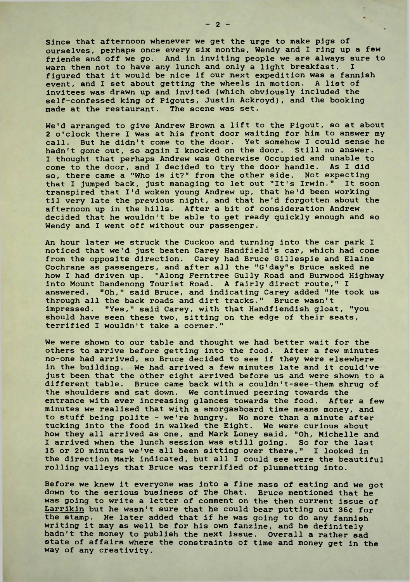Since that afternoon whenever we get the urge to make pigs of ourselves, perhaps once every six months, Wendy and <sup>I</sup> ring up a few friends and off we go. And in inviting people we are always sure to<br>warn them not to have any lunch and only a light breakfast. warn them not to have any lunch and only a light breakfast. figured that it would be nice if our next expedition was a fannish event, and I set about getting the wheels in motion. A list of invitees was drawn up and invited (which obviously included the self-confessed king of Pigouts, Justin Ackroyd), and the booking made at the restaurant. The scene was set.

We'd arranged to give Andrew Brown a lift to the Pigout, so at about 2 o'clock there I was at his front door waiting for him to answer my call. But he didn't come to the door. Yet somehow I could sense he hadn't gone out, so again I knocked on the door. Still no answer. I thought that perhaps Andrew was Otherwise Occupied and unable to come to the door, and I decided to try the door handle. As I did so, there came a "Who is it?" from the other side. Not expecting that <sup>I</sup> jumped back, just managing to let out "It's Irwin." It soon transpired that I'd woken young Andrew up, that he'd been working til very late the previous night, and that he'd forgotten about the afternoon up in the hills. After a bit of consideration Andrew decided that he wouldn't be able to get ready quickly enough and so Wendy and I went off without our passenger.

An hour later we struck the Cuckoo and turning into the car park <sup>I</sup> noticed that we'd just beaten Carey Handfield's car, which had come from the opposite direction. Carey had Bruce Gillespie and Elaine Cochrane as passengers, and after all the "G'day"s Bruce asked me how <sup>I</sup> had driven up. "Along Ferntree Gully Road and Burwood Highway into Mount Dandenong Tourist Road. A fairly direct route," I answered. "Oh." said Bruce, and indicating Carey added "He to "Oh," said Bruce, and indicating Carey added "He took us through all the back roads and dirt tracks." Bruce wasn't impressed. "Yes," said Carey, with that Handfiendish gloat, "you should have seen these two, sitting on the edge of their seats, terrified I wouldn't take a corner."

We were shown to our table and thought we had better wait for the others to arrive before getting into the food. After a few minutes no-one had arrived, so Bruce decided to see if they were elsewhere in the building. We had arrived a few minutes late and it could've just been that the other eight arrived before us and were shown to a different table. Bruce came back with a couldn't-see-them shrug of the shoulders and sat down. We continued peering towards the entrance with ever increasing glances towards the food. After a few minutes we realised that with a smorgasboard time means money, and to stuff being polite - we're hungry. No more than a minute after tucking into the food in walked the Eight. We were curious about how they all arrived as one, and Mark Loney said, "Oh, Michelle and I arrived when the lunch session was still going. So for the last 15 or 20 minutes we've all been sitting over there." I looked in the direction Mark indicated, but all <sup>I</sup> could see were the beautiful rolling valleys that Bruce was terrified of plummetting into.

Before we knew it everyone was into a fine mass of eating and we got down to the serious business of The Chat. Bruce mentioned that he was going to write a letter of comment on the then current issue of Larrikin but he wasn't sure that he could bear putting out 36¢ for the stamp. He later added that if he was going to do any fannish writing it may as well be for his own fanzine, and he definitely hadn't the money to publish the next issue. Overall a rather sad state of affairs where the constraints of time and money get in the way of any creativity.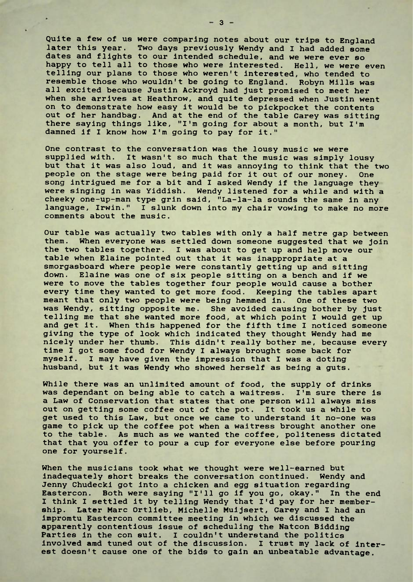Quite a few of us were comparing notes about our trips to England later this year. Two days previously Wendy and I had added some dates and flights to our intended schedule, and we were ever so happy to tell all to those who were interested. Hell, we were even telling our plans to those who weren't interested, who tended to resemble those who wouldn't be going to England. Robyn Mills was all excited because Justin Ackroyd had just promised to meet her when she arrives at Heathrow, and quite depressed when Justin went on to demonstrate how easy it would be to pickpocket the contents out of her handbag. And at the end of the table Carey was sitting there saying things like, "I'm going for about a month, but I'm damned if <sup>I</sup> know how I'm going to pay for it."

One contrast to the conversation was the lousy music we were supplied with. It wasn't so much that the music was simply lousy but that it was also loud, and it was annoying to think that the two people on the stage were being paid for it out of our money. One song intrigued me for a bit and <sup>I</sup> asked Wendy if the language they were singing in was Yiddish. Wendy listened for a while and with a cheeky one-up-man type grin said, "La-la-la sounds the same in any language, Irwin." <sup>I</sup> slunk down into my chair vowing to make no more comments about the music.

Our table was actually two tables with only a half metre gap between them. When everyone was settled down someone suggested that we join the two tables together. I was about to get up and help move our table when Elaine pointed out that it was inappropriate at a smorgasboard where people were constantly getting up and sitting down. Elaine was one of six people sitting on a bench and if we were to move the tables together four people would cause a bother every time they wanted to get more food. Keeping the tables apart meant that only two people were being hemmed in. One of these two was Wendy, sitting opposite me. She avoided causing bother by just telling me that she wanted more food, at which point <sup>I</sup> would get up and get it. When this happened for the fifth time <sup>I</sup> noticed someone giving the type of look which indicated they thought Wendy had me nicely under her thumb. This didn't really bother me, because every time <sup>I</sup> got some food for Wendy <sup>I</sup> always brought some back for myself. <sup>I</sup> may have given the impression that I was a doting husband, but it was Wendy who showed herself as being a guts.

While there was an unlimited amount of food, the supply of drinks was dependant on being able to catch a waitress. I'm sure there is a Law of Conservation that states that one person will always miss out on getting some coffee out of the pot. It took us a while to get used to this Law, but once we came to understand it no-one was game to pick up the coffee pot when a waitress brought another one to the table. As much as we wanted the coffee, politeness dictated that that you offer to pour a cup for everyone else before pouring one for yourself.

When the musicians took what we thought were well-earned but inadequately short breaks the conversation continued. Wendy and Jenny Chudecki got into a chicken and egg situation regarding Eastercon. Both were saying "I'll go if you go, okay." In the end I think <sup>I</sup> settled it by telling Wendy that I'd pay for her membership. Later Marc Ortlieb, Michelle Muijsert, Carey and I had an impromtu Eastercon committee meeting in which we discussed the apparently contentious issue of scheduling the Natcon Bidding Parties in the con suit. <sup>I</sup> couldn't understand the politics involved amd tuned out of the discussion. I trust my lack of interest doesn't cause one of the bids to gain an unbeatable advantage.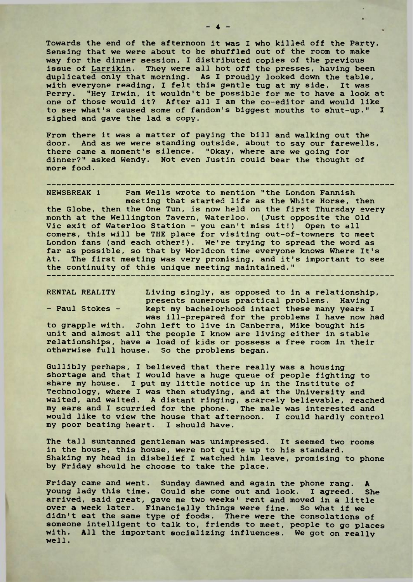Towards the end of the afternoon it was I who killed off the Party. Sensing that we were about to be shuffled out of the room to make way for the dinner session, <sup>I</sup> distributed copies of the previous issue of Larrikin. They were all hot off the presses, having been duplicated only that morning. As I proudly looked down the table, with everyone reading, I felt this gentle tug at my side. It was Perry. "Hey Irwin, it wouldn't be possible for me to have a look at one of those would it? After all <sup>I</sup> am the co-editor and would like to see what's caused some of fandom's biggest mouths to shut-up." I sighed and gave the lad a copy.

From there it was a matter of paying the bill and walking out the door. And as we were standing outside, about to say our farewells, there came a moment's silence. "Okay, where are we going for dinner?" asked Wendy. Not even Justin could bear the thought of more food.

NEWSBREAK <sup>1</sup> Pam Wells wrote to mention "the London Fannish meeting that started life as the White Horse, then the Globe, then the One Tun, is now held on the first Thursday every month at the Wellington Tavern, Waterloo. (Just opposite the Old Vic exit of Waterloo Station - you can't miss it!) Open to all comers, this will be THE place for visiting out-of-towners to meet London fans (and each other!). We're trying to spread the word as far as possible, so that by Worldcon time everyone knows Where It's At. The first meeting was very promising, and it's important to see the continuity of this unique meeting maintained."

RENTAL REALITY Living singly, as opposed to in a relationship, presents numerous practical problems. Having - Paul Stokes - kept my bachelorhood intact these many years I was ill-prepared for the problems I have now had

to grapple with. John left to live in Canberra, Mike bought his unit and almost all the people I know are living either in stable relationships, have a load of kids or possess a free room in their otherwise full house. So the problems began.

Gullibly perhaps, <sup>I</sup> believed that there really was a housing shortage and that I would have a huge queue of people fighting to share my house. <sup>I</sup> put my little notice up in the Institute of Technology, where I was then studying, and at the University and waited, and waited. A distant ringing, scarcely believable, reached my ears and <sup>I</sup> scurried for the phone. The male was interested and would like to view the house that afternoon. I could hardly control my poor beating heart. <sup>I</sup> should have.

The tall suntanned gentleman was unimpressed. It seemed two rooms in the house, this house, were not quite up to his standard. Shaking my head in disbelief <sup>I</sup> watched him leave, promising to phone by Friday should he choose to take the place.

Friday came and went. Sunday dawned and again the phone rang. A young lady this time. Could she come out and look. <sup>I</sup> agreed. She arrived, said great, gave me two weeks' rent and moved in a little over a week later. Financially things were fine. So what if we didn't eat the same type of foods. There were the consolations of someone intelligent to talk to, friends to meet, people to go places with. All the important socializing influences. We got on really well.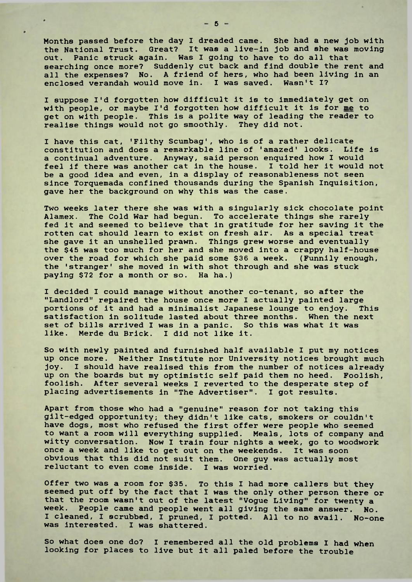Months passed before the day <sup>I</sup> dreaded came. She had a new job with the National Trust. Great? It was a live-in job and she was moving out. Panic struck again. Was I going to have to do all that searching once more? Suddenly cut back and find double the rent and all the expenses? No. A friend of hers, who had been living in an enclosed verandah would move in. I was saved. Wasn't I?

I suppose I'd forgotten how difficult it is to immediately get on with people, or maybe I'd forgotten how difficult it is for me to get on with people. This is a polite way of leading the reader to realise things would not go smoothly. They did not.

I have this cat, 'Filthy Scumbag', who is of a rather delicate constitution and does a remarkable line of 'amazed' looks. Life is a continual adventure. Anyway, said person enquired how <sup>I</sup> would feel if there was another cat in the house. <sup>I</sup> told her it would not be a good idea and even, in a display of reasonableness not seen since Torquemada confined thousands during the Spanish Inquisition, gave her the background on why this was the case.

Two weeks later there she was with a singularly sick chocolate point Alamex. The Cold War had begun. To accelerate things she rarely fed it and seemed to believe that in gratitude for her saving it the rotten cat should learn to exist on fresh air. As a special treat she gave it an unshelled prawn. Things grew worse and eventually the \$45 was too much for her and she moved into a crappy half-house over the road for which she paid some \$36 a week. (Funnily enough, the 'stranger' she moved in with shot through and she was stuck paying \$72 for a month or so. Ha ha.)

I decided I could manage without another co-tenant, so after the "Landlord" repaired the house once more I actually painted large portions of it and had a minimalist Japanese lounge to enjoy. This satisfaction in solitude lasted about three months. When the next set of bills arrived <sup>I</sup> was in a panic. So this was what it was like. Merde du Brick. I did not like it.

So with newly painted and furnished half available I put my notices up once more. Neither Institute nor University notices brought much joy. <sup>I</sup> should have realised this from the number of notices already up on the boards but my optimistic self paid them no heed. Foolish, foolish. After several weeks <sup>I</sup> reverted to the desperate step of placing advertisements in "The Advertiser". I got results.

Apart from those who had a "genuine" reason for not taking this gilt-edged opportunity; they didn't like cats, smokers or couldn't have dogs, most who refused the first offer were people who seemed to want a room will everything supplied. Meals, lots of company and witty conversation. Now <sup>I</sup> train four nights a week, go to woodwork once a week and like to get out on the weekends. It was soon obvious that this did not suit them. One guy was actually most reluctant to even come inside. I was worried.

Offer two was a room for \$35. To this I had more callers but they seemed put off by the fact that <sup>I</sup> was the only other person there or that the room wasn't out of the latest "Vogue Living" for twenty a week. People came and people went all giving the same answer. No. <sup>I</sup> cleaned, I scrubbed, I pruned, I potted. All to no avail. No-one was interested. I was shattered.

So what does one do? <sup>I</sup> remembered all the old problems I had when looking for places to live but it all paled before the trouble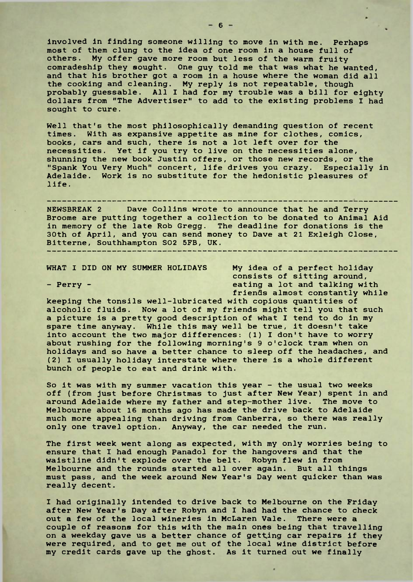involved in finding someone willing to move in with me. Perhaps most of them clung to the idea of one room in a house full of others. My offer gave more room but less of the warm fruity comradeship they sought. One guy told me that was what he wanted, and that his brother got a room in a house where the woman did all the cooking and cleaning. My reply is not repeatable, though probably guessable. All <sup>I</sup> had for my trouble was a bill for eighty dollars from "The Advertiser" to add to the existing problems I had sought to cure.

Well that's the most philosophically demanding question of recent times. With as expansive appetite as mine for clothes, comics, books, cars and such, there is not a lot left over for the necessities. Yet if you try to live on the necessities alone, shunning the new book Justin offers, or those new records, or the "Spank You Very Much" concert, life drives you crazy. Especially in Adelaide. Work is no substitute for the hedonistic pleasures of life.

-------------------------------------NEWSBREAK <sup>2</sup> Dave Collins wrote to announce that he and Terry Broome are putting together a collection to be donated to Animal Aid in memory of the late Rob Gregg. The deadline for donations is the 30th of April, and you can send money to Dave at 21 Exleigh Close, Bitterne, Southhampton S02 5FB, UK.

WHAT I DID ON MY SUMMER HOLIDAYS My idea of a perfect holiday consists of sitting around, - Perry - eating a lot and talking with friends almost constantly while

keeping the tonsils well-lubricated with copious quantities of alcoholic fluids. Now a lot of my friends might tell you that such a picture is a pretty good description of what I tend to do in my spare time anyway. While this may well be true, it doesn't take into account the two major differences: (1) <sup>I</sup> don't have to worry about rushing for the following morning's 9 o'clock tram when on holidays and so have a better chance to sleep off the headaches, and (2) I usually holiday interstate where there is a whole different bunch of people to eat and drink with.

So it was with my summer vacation this year - the usual two weeks off (from just before Christmas to just after New Year) spent in and around Adelaide where my father and step-mother live. The move to Melbourne about 16 months ago has made the drive back to Adelaide much more appealing than driving from Canberra, so there was really only one travel option. Anyway, the car needed the run.

The first week went along as expected, with my only worries being to ensure that I had enough Panadol for the hangovers and that the waistline didn't explode over the belt. Robyn flew in from Melbourne and the rounds started all over again. But all things must pass, and the week around New Year's Day went quicker than was really decent.

I had originally intended to drive back to Melbourne on the Friday after New Year's Day after Robyn and I had had the chance to check out a few of the local wineries in McLaren Vale. There were a couple of reasons for this with the main ones being that travelling on a weekday gave us a better chance of getting car repairs if they were required, and to get me out of the local wine district before my credit cards gave up the ghost. As it turned out we finally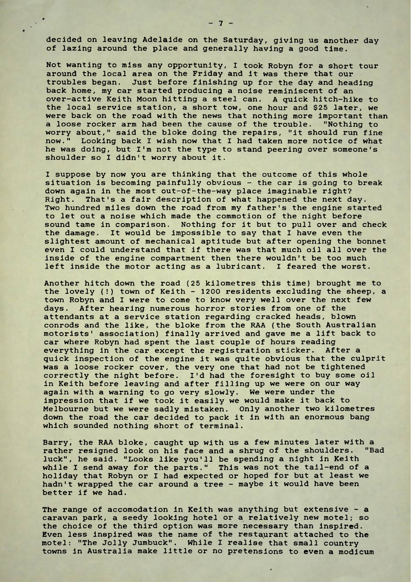decided on leaving Adelaide on the Saturday, giving us another day of lazing around the place and generally having a good time.

Not wanting to miss any opportunity, <sup>I</sup> took Robyn for a short tour around the local area on the Friday and it was there that our troubles began. Just before finishing up for the day and heading back home, my car started producing a noise reminiscent of an over-active Keith Moon hitting a steel can. A quick hitch-hike to the local service station, a short tow, one hour and \$25 later, we were back on the road with the news that nothing more important than a loose rocker arm had been the cause of the trouble. "Nothing to worry about," said the bloke doing the repairs, "it should run fine now." Looking back I wish now that <sup>I</sup> had taken more notice of what he was doing, but I'm not the type to stand peering over someone's shoulder so <sup>I</sup> didn't worry about it.

I suppose by now you are thinking that the outcome of this whole situation is becoming painfully obvious - the car is going to break down again in the most out-of-the-way place imaginable right? Right. That's a fair description of what happened the next day. Two hundred miles down the road from my father's the engine started to let out a noise which made the commotion of the night before sound tame in comparison. Nothing for it but to pull over and check the damage. It would be impossible to say that <sup>I</sup> have even the slightest amount of mechanical aptitude but after opening the bonnet even I could understand that if there was that much oil all over the inside of the engine compartment then there wouldn't be too much left inside the motor acting as a lubricant. I feared the worst.

Another hitch down the road (25 kilometres this time) brought me to the lovely (!) town of Keith - 1200 residents excluding the sheep, a town Robyn and <sup>I</sup> were to come to know very well over the next few days. After hearing numerous horror stories from one of the attendants at a service station regarding cracked heads, blown conrods and the like, the bloke from the RAA (the South Australian motorists' association) finally arrived and gave me a lift back to car where Robyn had spent the last couple of hours reading everything in the car except the registration sticker. After a quick inspection of the engine it was quite obvious that the culprit was a loose rocker cover, the very one that had not be tightened correctly the night before. I'd had the foresight to buy some oil in Keith before leaving and after filling up we were on our way again with a warning to go very slowly. We were under the impression that if we took it easily we would make it back to Melbourne but we were sadly mistaken. Only another two kilometres down the road the car decided to pack it in with an enormous bang which sounded nothing short of terminal.

Barry, the RAA bloke, caught up with us a few minutes later with a rather resigned look on his face and a shrug of the shoulders. "Bad rather resigned look on his face and a shrug of the shoulders. luck", he said. "Looks like you'll be spending a night in Keith while <sup>I</sup> send away for the parts." This was not the tail-end of a holiday that Robyn or I had expected or hoped for but at least we hadn't wrapped the car around a tree - maybe it would have been better if we had.

The range of accomodation in Keith was anything but extensive - a caravan park, a seedy looking hotel or a relatively new motel; so the choice of the third option was more necessary than inspired. Even less inspired was the name of the restaurant attached to the motel: "The Jolly Jumbuck". While I realise that small country towns in Australia make little or no pretensions to even a modicum